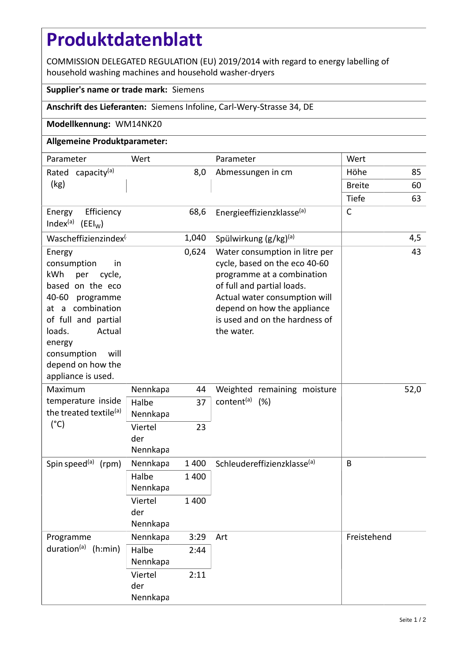# **Produktdatenblatt**

COMMISSION DELEGATED REGULATION (EU) 2019/2014 with regard to energy labelling of household washing machines and household washer-dryers

### **Supplier's name or trade mark:** Siemens

## **Anschrift des Lieferanten:** Siemens Infoline, Carl-Wery-Strasse 34, DE

### **Modellkennung:** WM14NK20

## **Allgemeine Produktparameter:**

| Parameter                                                                                                                                                                                                                             | Wert                       |         | Parameter                                                                                                                                                                                                                                   | Wert          |     |
|---------------------------------------------------------------------------------------------------------------------------------------------------------------------------------------------------------------------------------------|----------------------------|---------|---------------------------------------------------------------------------------------------------------------------------------------------------------------------------------------------------------------------------------------------|---------------|-----|
| Rated capacity <sup>(a)</sup>                                                                                                                                                                                                         | 8,0                        |         | Abmessungen in cm                                                                                                                                                                                                                           | Höhe          | 85  |
| (kg)                                                                                                                                                                                                                                  |                            |         |                                                                                                                                                                                                                                             | <b>Breite</b> | 60  |
|                                                                                                                                                                                                                                       |                            |         |                                                                                                                                                                                                                                             | <b>Tiefe</b>  | 63  |
| Efficiency<br>Energy<br>Index <sup>(a)</sup> (EEI <sub>W</sub> )                                                                                                                                                                      |                            | 68,6    | Energieeffizienzklasse(a)                                                                                                                                                                                                                   | $\mathsf{C}$  |     |
| Wascheffizienzindex                                                                                                                                                                                                                   |                            | 1,040   | Spülwirkung $(g/kg)^{(a)}$                                                                                                                                                                                                                  |               | 4,5 |
| Energy<br>consumption<br>in<br>kWh<br>per<br>cycle,<br>based on the eco<br>40-60 programme<br>at a combination<br>of full and partial<br>loads.<br>Actual<br>energy<br>will<br>consumption<br>depend on how the<br>appliance is used. |                            | 0,624   | Water consumption in litre per<br>cycle, based on the eco 40-60<br>programme at a combination<br>of full and partial loads.<br>Actual water consumption will<br>depend on how the appliance<br>is used and on the hardness of<br>the water. |               | 43  |
| Maximum<br>temperature inside<br>the treated textile <sup>(a)</sup><br>$(^{\circ}C)$                                                                                                                                                  | Nennkapa                   | 44      | Weighted remaining moisture<br>content <sup>(a)</sup> (%)                                                                                                                                                                                   | 52,0          |     |
|                                                                                                                                                                                                                                       | Halbe<br>Nennkapa          | 37      |                                                                                                                                                                                                                                             |               |     |
|                                                                                                                                                                                                                                       | Viertel<br>der<br>Nennkapa | 23      |                                                                                                                                                                                                                                             |               |     |
| Spin speed <sup>(a)</sup> (rpm)                                                                                                                                                                                                       | Nennkapa                   | 1 4 0 0 | Schleudereffizienzklasse <sup>(a)</sup>                                                                                                                                                                                                     | B             |     |
|                                                                                                                                                                                                                                       | Halbe<br>Nennkapa          | 1 400   |                                                                                                                                                                                                                                             |               |     |
|                                                                                                                                                                                                                                       | Viertel<br>der<br>Nennkapa | 1 400   |                                                                                                                                                                                                                                             |               |     |
| Programme<br>duration <sup>(a)</sup> (h:min)                                                                                                                                                                                          | Nennkapa                   | 3:29    | Art                                                                                                                                                                                                                                         | Freistehend   |     |
|                                                                                                                                                                                                                                       | Halbe<br>Nennkapa          | 2:44    |                                                                                                                                                                                                                                             |               |     |
|                                                                                                                                                                                                                                       | Viertel<br>der<br>Nennkapa | 2:11    |                                                                                                                                                                                                                                             |               |     |